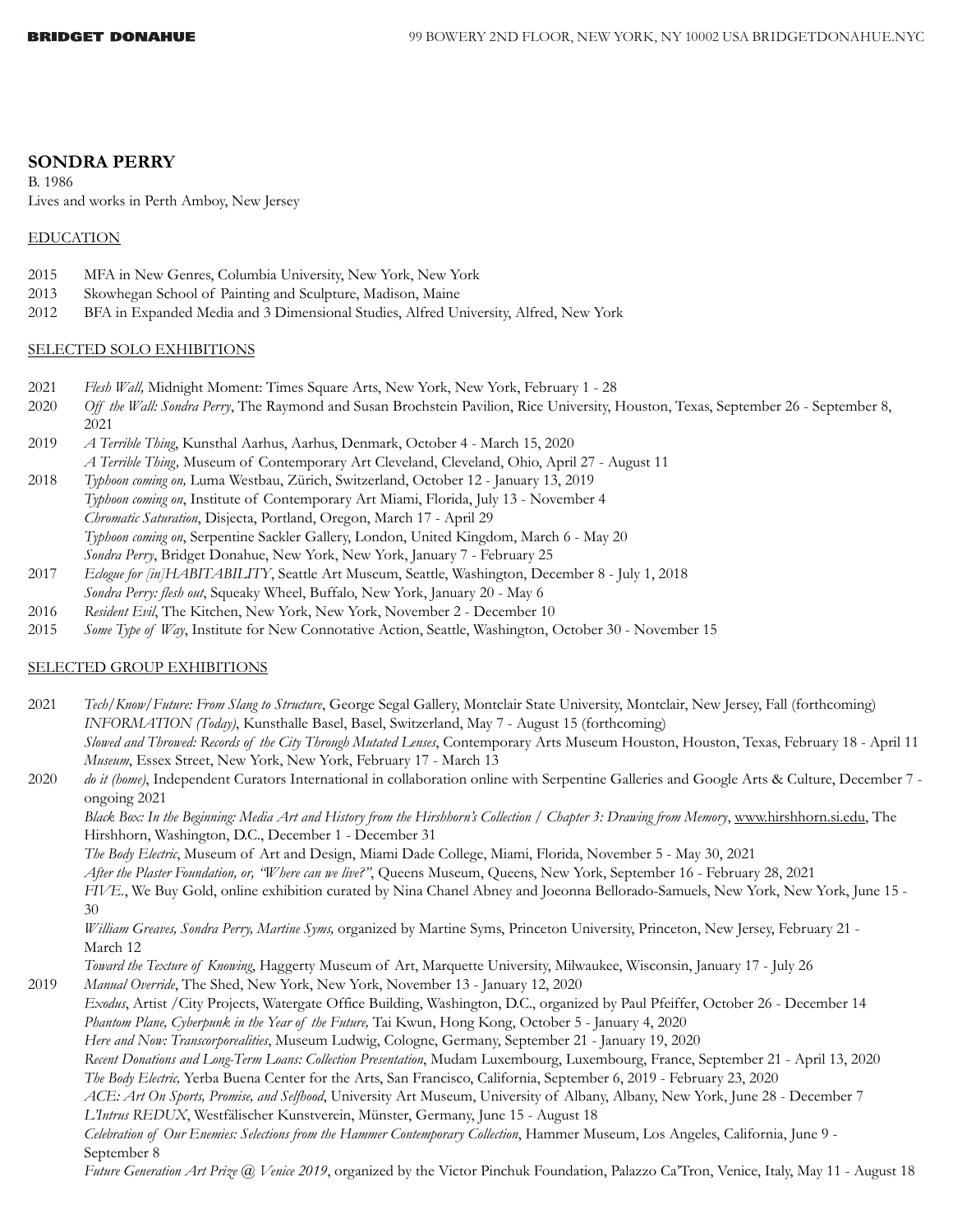# **SONDRA PERRY**

B. 1986 Lives and works in Perth Amboy, New Jersey

## EDUCATION

- 2015 MFA in New Genres, Columbia University, New York, New York
- 2013 Skowhegan School of Painting and Sculpture, Madison, Maine
- 2012 BFA in Expanded Media and 3 Dimensional Studies, Alfred University, Alfred, New York

## SELECTED SOLO EXHIBITIONS

- 2021 *Flesh Wall,* Midnight Moment: Times Square Arts, New York, New York, February 1 28
- 2020 *Off the Wall: Sondra Perry*, The Raymond and Susan Brochstein Pavilion, Rice University, Houston, Texas, September 26 September 8, 2021
- 2019 *A Terrible Thing*, Kunsthal Aarhus, Aarhus, Denmark, October 4 March 15, 2020 *A Terrible Thing,* Museum of Contemporary Art Cleveland, Cleveland, Ohio, April 27 - August 11
- 2018 *Typhoon coming on,* Luma Westbau, Zürich, Switzerland, October 12 January 13, 2019 *Typhoon coming on*, Institute of Contemporary Art Miami, Florida, July 13 - November 4 *Chromatic Saturation*, Disjecta, Portland, Oregon, March 17 - April 29 *Typhoon coming on*, Serpentine Sackler Gallery, London, United Kingdom, March 6 - May 20 *Sondra Perry*, Bridget Donahue, New York, New York, January 7 - February 25
- 2017 *Eclogue for [in]HABITABILITY*, Seattle Art Museum, Seattle, Washington, December 8 July 1, 2018 *Sondra Perry: flesh out*, Squeaky Wheel, Buffalo, New York, January 20 - May 6
- 2016 *Resident Evil*, The Kitchen, New York, New York, November 2 December 10
- 2015 *Some Type of Way*, Institute for New Connotative Action, Seattle, Washington, October 30 November 15

## SELECTED GROUP EXHIBITIONS

2021 *Tech/Know/Future: From Slang to Structure*, George Segal Gallery, Montclair State University, Montclair, New Jersey, Fall (forthcoming) *INFORMATION (Today)*, Kunsthalle Basel, Basel, Switzerland, May 7 - August 15 (forthcoming) *Slowed and Throwed: Records of the City Through Mutated Lenses*, Contemporary Arts Museum Houston, Houston, Texas, February 18 - April 11 *Museum*, Essex Street, New York, New York, February 17 - March 13 2020 *do it (home)*, Independent Curators International in collaboration online with Serpentine Galleries and Google Arts & Culture, December 7 ongoing 2021

*Black Box: In the Beginning: Media Art and History from the Hirshhorn's Collection / Chapter 3: Drawing from Memory*, [www.hirshhorn.si.edu](http://www.hirshhorn.si.edu), The Hirshhorn, Washington, D.C., December 1 - December 31

*The Body Electric*, Museum of Art and Design, Miami Dade College, Miami, Florida, November 5 - May 30, 2021

*After the Plaster Foundation, or, "Where can we live?"*, Queens Museum, Queens, New York, September 16 - February 28, 2021

*FIVE.*, We Buy Gold, online exhibition curated by Nina Chanel Abney and Joeonna Bellorado-Samuels, New York, New York, June 15 - 30

*William Greaves, Sondra Perry, Martine Syms,* organized by Martine Syms, Princeton University, Princeton, New Jersey, February 21 - March 12

*Toward the Texture of Knowing*, Haggerty Museum of Art, Marquette University, Milwaukee, Wisconsin, January 17 - July 26 2019 *Manual Override*, The Shed, New York, New York, November 13 - January 12, 2020

*Exodus*, Artist /City Projects, Watergate Office Building, Washington, D.C., organized by Paul Pfeiffer, October 26 - December 14 *Phantom Plane, Cyberpunk in the Year of the Future,* Tai Kwun, Hong Kong, October 5 - January 4, 2020

*Here and Now: Transcorporealities*, Museum Ludwig, Cologne, Germany, September 21 - January 19, 2020

*Recent Donations and Long-Term Loans: Collection Presentation*, Mudam Luxembourg, Luxembourg, France, September 21 - April 13, 2020 *The Body Electric,* Yerba Buena Center for the Arts, San Francisco, California, September 6, 2019 - February 23, 2020

*ACE: Art On Sports, Promise, and Selfhood*, University Art Museum, University of Albany, Albany, New York, June 28 - December 7 *L'Intrus REDUX*, Westfälischer Kunstverein, Münster, Germany, June 15 - August 18

*Celebration of Our Enemies: Selections from the Hammer Contemporary Collection*, Hammer Museum, Los Angeles, California, June 9 - September 8

*Future Generation Art Prize @ Venice 2019*, organized by the Victor Pinchuk Foundation, Palazzo Ca'Tron, Venice, Italy, May 11 - August 18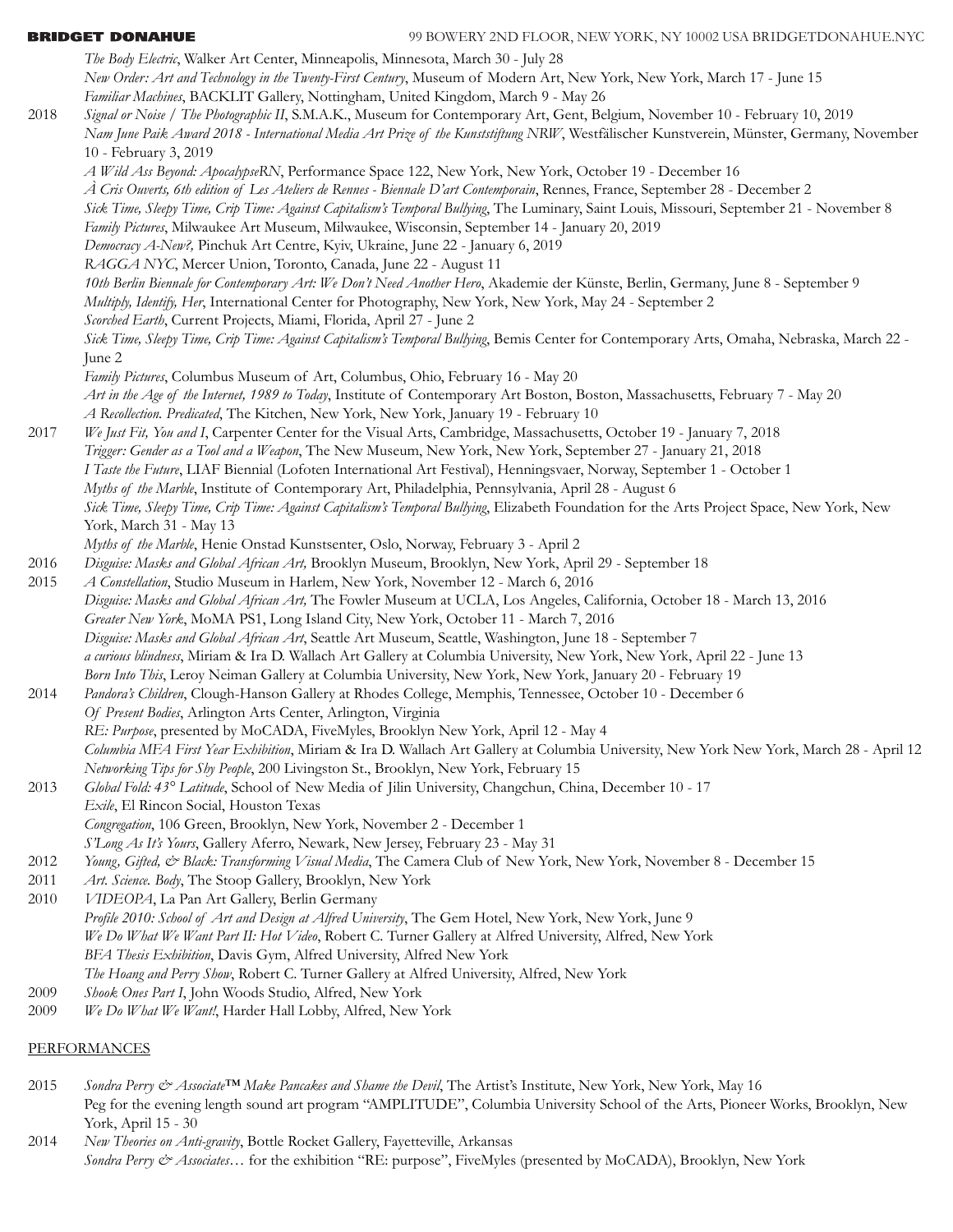*The Body Electric*, Walker Art Center, Minneapolis, Minnesota, March 30 - July 28  *New Order: Art and Technology in the Twenty-First Century*, Museum of Modern Art, New York, New York, March 17 - June 15 *Familiar Machines*, BACKLIT Gallery, Nottingham, United Kingdom, March 9 - May 26 2018 *Signal or Noise / The Photographic II*, S.M.A.K., Museum for Contemporary Art, Gent, Belgium, November 10 - February 10, 2019 *Nam June Paik Award 2018 - International Media Art Prize of the Kunststiftung NRW*, Westfälischer Kunstverein, Münster, Germany, November 10 - February 3, 2019 *A Wild Ass Beyond: ApocalypseRN*, Performance Space 122, New York, New York, October 19 - December 16 *À Cris Ouverts, 6th edition of Les Ateliers de Rennes - Biennale D'art Contemporain*, Rennes, France, September 28 - December 2 *Sick Time, Sleepy Time, Crip Time: Against Capitalism's Temporal Bullying*, The Luminary, Saint Louis, Missouri, September 21 - November 8 *Family Pictures*, Milwaukee Art Museum, Milwaukee, Wisconsin, September 14 - January 20, 2019 *Democracy A-New?,* Pinchuk Art Centre, Kyiv, Ukraine, June 22 - January 6, 2019 *RAGGA NYC*, Mercer Union, Toronto, Canada, June 22 - August 11 *10th Berlin Biennale for Contemporary Art: We Don't Need Another Hero*, Akademie der Künste, Berlin, Germany, June 8 - September 9 *Multiply, Identify, Her*, International Center for Photography, New York, New York, May 24 - September 2 *Scorched Earth*, Current Projects, Miami, Florida, April 27 - June 2 *Sick Time, Sleepy Time, Crip Time: Against Capitalism's Temporal Bullying*, Bemis Center for Contemporary Arts, Omaha, Nebraska, March 22 - June 2 *Family Pictures*, Columbus Museum of Art, Columbus, Ohio, February 16 - May 20 *Art in the Age of the Internet, 1989 to Today*, Institute of Contemporary Art Boston, Boston, Massachusetts, February 7 - May 20 *A Recollection. Predicated*, The Kitchen, New York, New York, January 19 - February 10 2017 *We Just Fit, You and I*, Carpenter Center for the Visual Arts, Cambridge, Massachusetts, October 19 - January 7, 2018 *Trigger: Gender as a Tool and a Weapon*, The New Museum, New York, New York, September 27 - January 21, 2018 *I Taste the Future*, LIAF Biennial (Lofoten International Art Festival), Henningsvaer, Norway, September 1 - October 1 *Myths of the Marble*, Institute of Contemporary Art, Philadelphia, Pennsylvania, April 28 - August 6 *Sick Time, Sleepy Time, Crip Time: Against Capitalism's Temporal Bullying*, Elizabeth Foundation for the Arts Project Space, New York, New York, March 31 - May 13 *Myths of the Marble*, Henie Onstad Kunstsenter, Oslo, Norway, February 3 - April 2 2016 *Disguise: Masks and Global African Art,* Brooklyn Museum, Brooklyn, New York, April 29 - September 18 2015 *A Constellation*, Studio Museum in Harlem, New York, November 12 - March 6, 2016 *Disguise: Masks and Global African Art,* The Fowler Museum at UCLA, Los Angeles, California, October 18 - March 13, 2016 *Greater New York*, MoMA PS1, Long Island City, New York, October 11 - March 7, 2016 *Disguise: Masks and Global African Art*, Seattle Art Museum, Seattle, Washington, June 18 - September 7 *a curious blindness*, Miriam & Ira D. Wallach Art Gallery at Columbia University, New York, New York, April 22 - June 13 *Born Into This*, Leroy Neiman Gallery at Columbia University, New York, New York, January 20 - February 19 2014 *Pandora's Children*, Clough-Hanson Gallery at Rhodes College, Memphis, Tennessee, October 10 - December 6 *Of Present Bodies*, Arlington Arts Center, Arlington, Virginia *RE: Purpose*, presented by MoCADA, FiveMyles, Brooklyn New York, April 12 - May 4 *Columbia MFA First Year Exhibition*, Miriam & Ira D. Wallach Art Gallery at Columbia University, New York New York, March 28 - April 12 *Networking Tips for Shy People*, 200 Livingston St., Brooklyn, New York, February 15 2013 *Global Fold: 43° Latitude*, School of New Media of Jilin University, Changchun, China, December 10 - 17 *Exile*, El Rincon Social, Houston Texas *Congregation*, 106 Green, Brooklyn, New York, November 2 - December 1 *S'Long As It's Yours*, Gallery Aferro, Newark, New Jersey, February 23 - May 31 2012 *Young, Gifted, & Black: Transforming Visual Media*, The Camera Club of New York, New York, November 8 - December 15 2011 *Art. Science. Body*, The Stoop Gallery, Brooklyn, New York 2010 *VIDEOPA*, La Pan Art Gallery, Berlin Germany *Profile 2010: School of Art and Design at Alfred University*, The Gem Hotel, New York, New York, June 9 *We Do What We Want Part II: Hot Video*, Robert C. Turner Gallery at Alfred University, Alfred, New York *BFA Thesis Exhibition*, Davis Gym, Alfred University, Alfred New York *The Hoang and Perry Show*, Robert C. Turner Gallery at Alfred University, Alfred, New York 2009 *Shook Ones Part I*, John Woods Studio, Alfred, New York 2009 *We Do What We Want!*, Harder Hall Lobby, Alfred, New York PERFORMANCES

2015 Sondra Perry & Associate<sup>TM</sup> Make Pancakes and Shame the Devil, The Artist's Institute, New York, New York, May 16 Peg for the evening length sound art program "AMPLITUDE", Columbia University School of the Arts, Pioneer Works, Brooklyn, New York, April 15 - 30

2014 *New Theories on Anti-gravity*, Bottle Rocket Gallery, Fayetteville, Arkansas *Sondra Perry & Associates…* for the exhibition "RE: purpose", FiveMyles (presented by MoCADA), Brooklyn, New York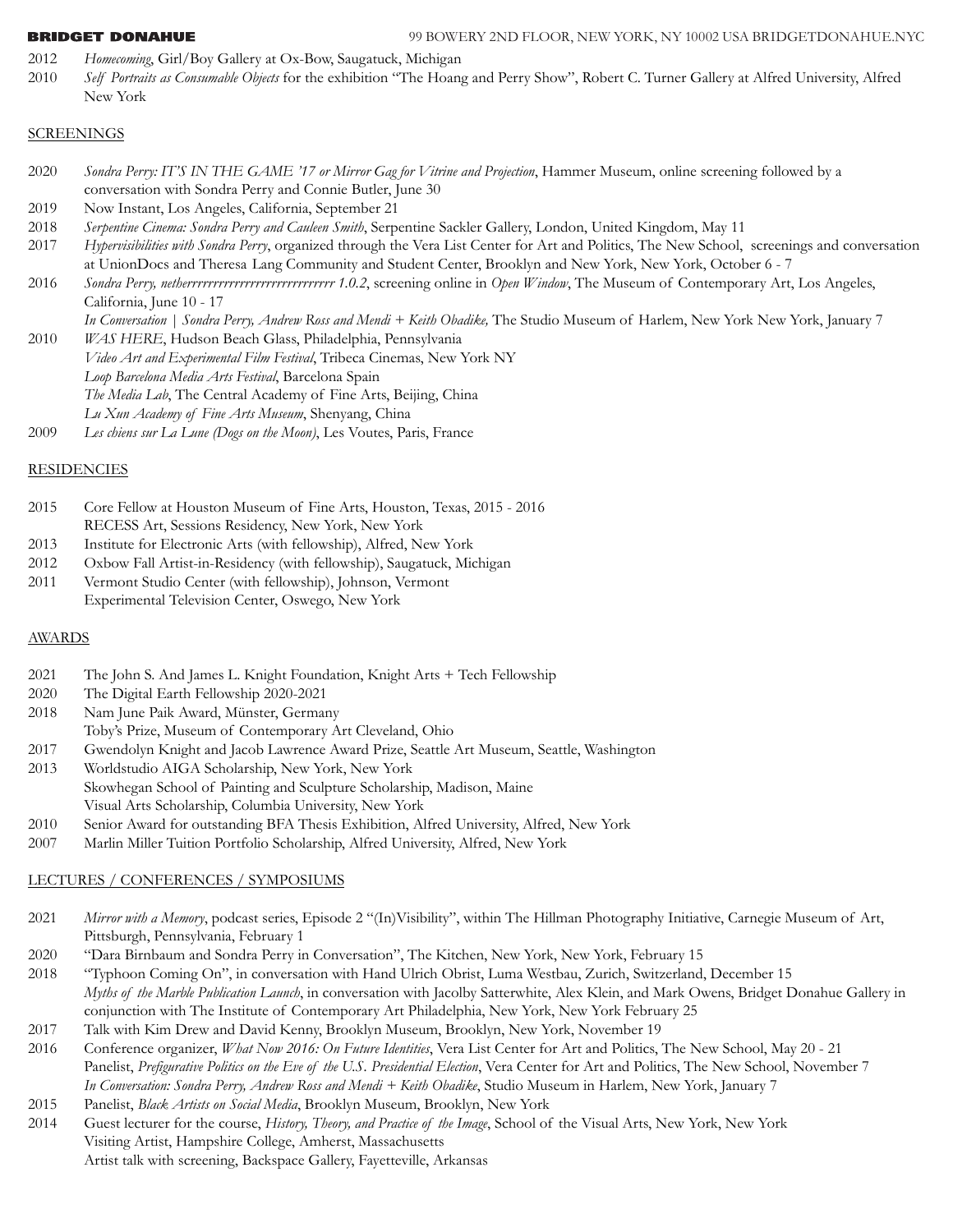- 2012 *Homecoming*, Girl/Boy Gallery at Ox-Bow, Saugatuck, Michigan
- 2010 *Self Portraits as Consumable Objects* for the exhibition "The Hoang and Perry Show", Robert C. Turner Gallery at Alfred University, Alfred New York

### SCREENINGS

- 2020 *Sondra Perry: IT'S IN THE GAME '17 or Mirror Gag for Vitrine and Projection*, Hammer Museum, online screening followed by a conversation with Sondra Perry and Connie Butler, June 30
- 2019 Now Instant, Los Angeles, California, September 21
- 2018 *Serpentine Cinema: Sondra Perry and Cauleen Smith*, Serpentine Sackler Gallery, London, United Kingdom, May 11
- 2017 *Hypervisibilities with Sondra Perry*, organized through the Vera List Center for Art and Politics, The New School, screenings and conversation at UnionDocs and Theresa Lang Community and Student Center, Brooklyn and New York, New York, October 6 - 7
- 2016 *Sondra Perry, netherrrrrrrrrrrrrrrrrrrrrrrrrrrr 1.0.2*, screening online in *Open Window*, The Museum of Contemporary Art, Los Angeles, California, June 10 - 17

*In Conversation | Sondra Perry, Andrew Ross and Mendi + Keith Obadike,* The Studio Museum of Harlem, New York New York, January 7

- 2010 *WAS HERE*, Hudson Beach Glass, Philadelphia, Pennsylvania *Video Art and Experimental Film Festival*, Tribeca Cinemas, New York NY *Loop Barcelona Media Arts Festival*, Barcelona Spain *The Media Lab*, The Central Academy of Fine Arts, Beijing, China *Lu Xun Academy of Fine Arts Museum*, Shenyang, China
- 2009 *Les chiens sur La Lune (Dogs on the Moon)*, Les Voutes, Paris, France

# **RESIDENCIES**

- 2015 Core Fellow at Houston Museum of Fine Arts, Houston, Texas, 2015 2016 RECESS Art, Sessions Residency, New York, New York
- 2013 Institute for Electronic Arts (with fellowship), Alfred, New York
- 2012 Oxbow Fall Artist-in-Residency (with fellowship), Saugatuck, Michigan
- 2011 Vermont Studio Center (with fellowship), Johnson, Vermont Experimental Television Center, Oswego, New York

## **AWARDS**

- 2021 The John S. And James L. Knight Foundation, Knight Arts + Tech Fellowship
- 2020 The Digital Earth Fellowship 2020-2021
- 2018 Nam June Paik Award, Münster, Germany
- Toby's Prize, Museum of Contemporary Art Cleveland, Ohio
- 2017 Gwendolyn Knight and Jacob Lawrence Award Prize, Seattle Art Museum, Seattle, Washington
- 2013 Worldstudio AIGA Scholarship, New York, New York Skowhegan School of Painting and Sculpture Scholarship, Madison, Maine Visual Arts Scholarship, Columbia University, New York
- 2010 Senior Award for outstanding BFA Thesis Exhibition, Alfred University, Alfred, New York
- 2007 Marlin Miller Tuition Portfolio Scholarship, Alfred University, Alfred, New York

# LECTURES / CONFERENCES / SYMPOSIUMS

- 2021 *Mirror with a Memory*, podcast series, Episode 2 "(In)Visibility", within The Hillman Photography Initiative, Carnegie Museum of Art, Pittsburgh, Pennsylvania, February 1
- 2020 "Dara Birnbaum and Sondra Perry in Conversation", The Kitchen, New York, New York, February 15
- 2018 "Typhoon Coming On", in conversation with Hand Ulrich Obrist, Luma Westbau, Zurich, Switzerland, December 15 *Myths of the Marble Publication Launch*, in conversation with Jacolby Satterwhite, Alex Klein, and Mark Owens, Bridget Donahue Gallery in conjunction with The Institute of Contemporary Art Philadelphia, New York, New York February 25
- 2017 Talk with Kim Drew and David Kenny, Brooklyn Museum, Brooklyn, New York, November 19
- 2016 Conference organizer, *What Now 2016: On Future Identities*, Vera List Center for Art and Politics, The New School, May 20 21 Panelist, *Prefigurative Politics on the Eve of the U.S. Presidential Election*, Vera Center for Art and Politics, The New School, November 7 *In Conversation: Sondra Perry, Andrew Ross and Mendi + Keith Obadike*, Studio Museum in Harlem, New York, January 7
- 2015 Panelist, *Black Artists on Social Media*, Brooklyn Museum, Brooklyn, New York
- 2014 Guest lecturer for the course, *History, Theory, and Practice of the Image*, School of the Visual Arts, New York, New York Visiting Artist, Hampshire College, Amherst, Massachusetts Artist talk with screening, Backspace Gallery, Fayetteville, Arkansas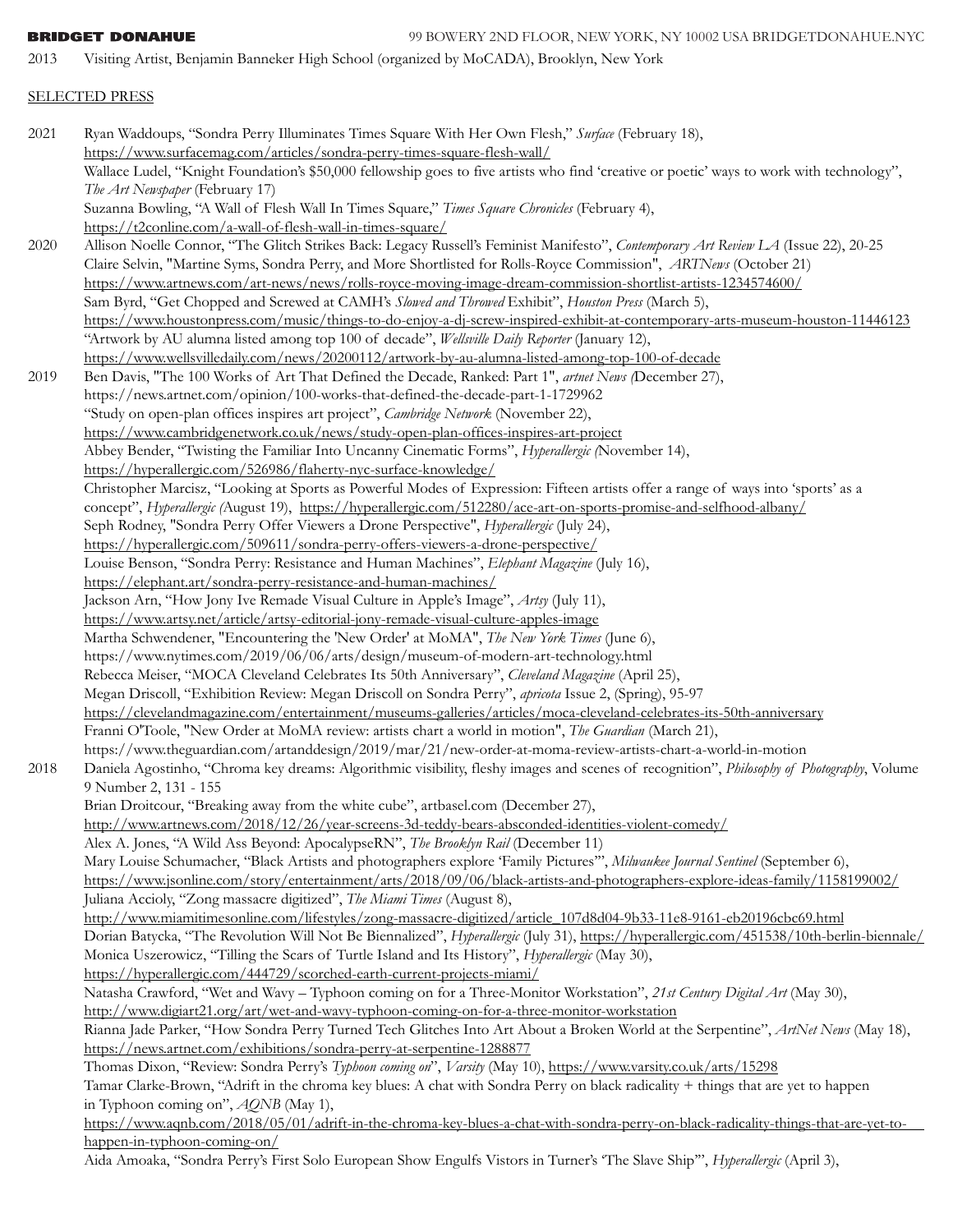2013 Visiting Artist, Benjamin Banneker High School (organized by MoCADA), Brooklyn, New York

# SELECTED PRESS

2021 Ryan Waddoups, "Sondra Perry Illuminates Times Square With Her Own Flesh," *Surface* (February 18), <https://www.surfacemag.com/articles/sondra-perry-times-square-flesh-wall/> Wallace Ludel, "Knight Foundation's \$50,000 fellowship goes to five artists who find 'creative or poetic' ways to work with technology", *The Art Newspaper* (February 17) Suzanna Bowling, "A Wall of Flesh Wall In Times Square," *Times Square Chronicles* (February 4), <https://t2conline.com/a-wall-of-flesh-wall-in-times-square/> 2020 Allison Noelle Connor, "The Glitch Strikes Back: Legacy Russell's Feminist Manifesto", *Contemporary Art Review LA* (Issue 22), 20-25 Claire Selvin, "Martine Syms, Sondra Perry, and More Shortlisted for Rolls-Royce Commission", *ARTNews* (October 21) https://www.artnews.com/art-news/news/rolls-royce-moving-image-dream-commission-shortlist-artists-1234574600/ Sam Byrd, "Get Chopped and Screwed at CAMH's *Slowed and Throwed* Exhibit", *Houston Press* (March 5), <https://www.houstonpress.com/music/things-to-do-enjoy-a-dj-screw-inspired-exhibit-at-contemporary-arts-museum-houston-11446123> "Artwork by AU alumna listed among top 100 of decade", *Wellsville Daily Reporter* (January 12), <https://www.wellsvilledaily.com/news/20200112/artwork-by-au-alumna-listed-among-top-100-of-decade> 2019 Ben Davis, "The 100 Works of Art That Defined the Decade, Ranked: Part 1", *artnet News (*December 27), https://news.artnet.com/opinion/100-works-that-defined-the-decade-part-1-1729962 "Study on open-plan offices inspires art project", *Cambridge Network* (November 22), <https://www.cambridgenetwork.co.uk/news/study-open-plan-offices-inspires-art-project> Abbey Bender, "Twisting the Familiar Into Uncanny Cinematic Forms", *Hyperallergic (*November 14), <https://hyperallergic.com/526986/flaherty-nyc-surface-knowledge/> Christopher Marcisz, "Looking at Sports as Powerful Modes of Expression: Fifteen artists offer a range of ways into 'sports' as a concept", *Hyperallergic (*August 19), <https://hyperallergic.com/512280/ace-art-on-sports-promise-and-selfhood-albany/> Seph Rodney, "Sondra Perry Offer Viewers a Drone Perspective", *Hyperallergic* (July 24), <https://hyperallergic.com/509611/sondra-perry-offers-viewers-a-drone-perspective/> Louise Benson, "Sondra Perry: Resistance and Human Machines", *Elephant Magazine* (July 16), <https://elephant.art/sondra-perry-resistance-and-human-machines/> Jackson Arn, "How Jony Ive Remade Visual Culture in Apple's Image", *Artsy* (July 11), <https://www.artsy.net/article/artsy-editorial-jony-remade-visual-culture-apples-image> Martha Schwendener, "Encountering the 'New Order' at MoMA", *The New York Times* (June 6), https://www.nytimes.com/2019/06/06/arts/design/museum-of-modern-art-technology.html Rebecca Meiser, "MOCA Cleveland Celebrates Its 50th Anniversary", *Cleveland Magazine* (April 25), Megan Driscoll, "Exhibition Review: Megan Driscoll on Sondra Perry", *apricota* Issue 2, (Spring), 95-97 <https://clevelandmagazine.com/entertainment/museums-galleries/articles/moca-cleveland-celebrates-its-50th-anniversary> Franni O'Toole, "New Order at MoMA review: artists chart a world in motion", *The Guardian* (March 21), https://www.theguardian.com/artanddesign/2019/mar/21/new-order-at-moma-review-artists-chart-a-world-in-motion 2018 Daniela Agostinho, "Chroma key dreams: Algorithmic visibility, fleshy images and scenes of recognition", *Philosophy of Photography*, Volume 9 Number 2, 131 - 155 Brian Droitcour, "Breaking away from the white cube", artbasel.com (December 27), <http://www.artnews.com/2018/12/26/year-screens-3d-teddy-bears-absconded-identities-violent-comedy/> Alex A. Jones, "A Wild Ass Beyond: ApocalypseRN", *The Brooklyn Rail* (December 11) Mary Louise Schumacher, "Black Artists and photographers explore 'Family Pictures'", *Milwaukee Journal Sentinel* (September 6), <https://www.jsonline.com/story/entertainment/arts/2018/09/06/black-artists-and-photographers-explore-ideas-family/1158199002/> Juliana Accioly, "Zong massacre digitized", *The Miami Times* (August 8), [http://www.miamitimesonline.com/lifestyles/zong-massacre-digitized/article\\_107d8d04-9b33-11e8-9161-eb20196cbc69.html](http://www.miamitimesonline.com/lifestyles/zong-massacre-digitized/article_107d8d04-9b33-11e8-9161-eb20196cbc69.html) Dorian Batycka, "The Revolution Will Not Be Biennalized", *Hyperallergic* (July 31), <https://hyperallergic.com/451538/10th-berlin-biennale/> Monica Uszerowicz, "Tilling the Scars of Turtle Island and Its History", *Hyperallergic* (May 30), <https://hyperallergic.com/444729/scorched-earth-current-projects-miami/> Natasha Crawford, "Wet and Wavy – Typhoon coming on for a Three-Monitor Workstation", *21st Century Digital Art* (May 30), <http://www.digiart21.org/art/wet-and-wavy-typhoon-coming-on-for-a-three-monitor-workstation> Rianna Jade Parker, "How Sondra Perry Turned Tech Glitches Into Art About a Broken World at the Serpentine", *ArtNet News* (May 18), <https://news.artnet.com/exhibitions/sondra-perry-at-serpentine-1288877> Thomas Dixon, "Review: Sondra Perry's *Typhoon coming on*", *Varsity* (May 10), <https://www.varsity.co.uk/arts/15298> Tamar Clarke-Brown, "Adrift in the chroma key blues: A chat with Sondra Perry on black radicality + things that are yet to happen in Typhoon coming on", *AQNB* (May 1), <https://www.aqnb.com/2018/05/01/adrift-in-the-chroma-key-blues-a-chat-with-sondra-perry->on-black-radicality-things-that-are-yet-tohappen-in-typhoon-coming-on/ Aida Amoaka, "Sondra Perry's First Solo European Show Engulfs Vistors in Turner's 'The Slave Ship'", *Hyperallergic* (April 3),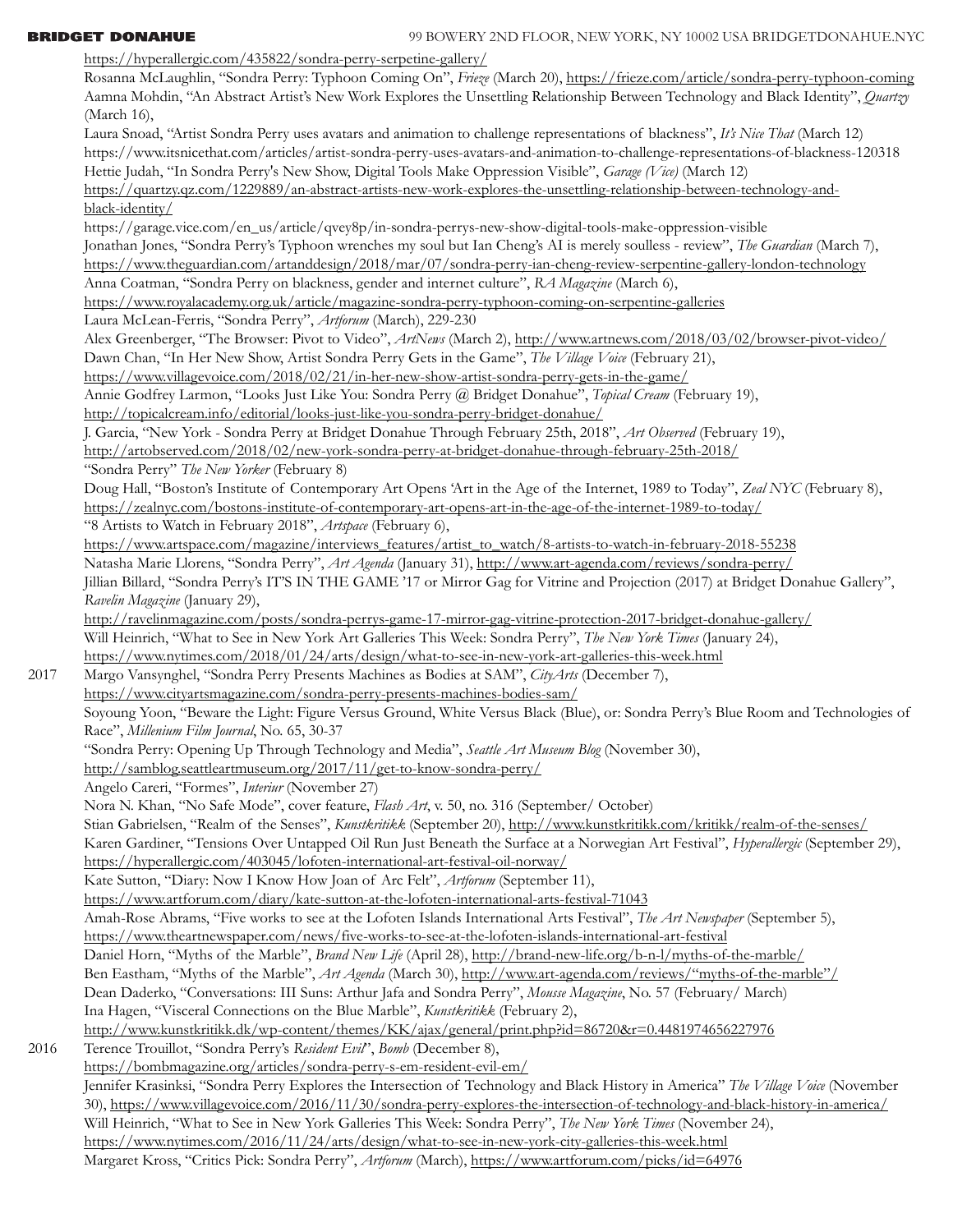<https://hyperallergic.com/435822/sondra-perry-serpetine-gallery/> Rosanna McLaughlin, "Sondra Perry: Typhoon Coming On", *Frieze* (March 20),<https://frieze.com/article/sondra-perry-typhoon-coming> Aamna Mohdin, "An Abstract Artist's New Work Explores the Unsettling Relationship Between Technology and Black Identity", *Quartzy*  (March 16), Laura Snoad, "Artist Sondra Perry uses avatars and animation to challenge representations of blackness", *It's Nice That* (March 12) https://www.itsnicethat.com/articles/artist-sondra-perry-uses-avatars-and-animation-to-challenge-representations-of-blackness-120318 Hettie Judah, "In Sondra Perry's New Show, Digital Tools Make Oppression Visible", *Garage (Vice)* (March 12) [https://quartzy.qz.com/1229889/an-abstract-artists-new-work-explores-the-unsettling-relationship-between-technology-and](https://quartzy.qz.com/1229889/an-abstract-artists-new-work-explores-the-unsettling-relationship-between-technology-and-)black-identity/ https://garage.vice.com/en\_us/article/qvey8p/in-sondra-perrys-new-show-digital-tools-make-oppression-visible Jonathan Jones, "Sondra Perry's Typhoon wrenches my soul but Ian Cheng's AI is merely soulless - review", *The Guardian* (March 7), <https://www.theguardian.com/artanddesign/2018/mar/07/sondra-perry-ian-cheng-review-serpentine-gallery-london-technology> Anna Coatman, "Sondra Perry on blackness, gender and internet culture", *RA Magazine* (March 6), https://www.royalacademy.org.uk/article/magazine-sondra-perry-typhoon-coming-on-serpentine-galleries Laura McLean-Ferris, "Sondra Perry", *Artforum* (March), 229-230 Alex Greenberger, "The Browser: Pivot to Video", *ArtNews* (March 2), <http://www.artnews.com/2018/03/02/browser-pivot-video/> Dawn Chan, "In Her New Show, Artist Sondra Perry Gets in the Game", *The Village Voice* (February 21), <https://www.villagevoice.com/2018/02/21/in-her-new-show-artist-sondra-perry-gets-in-the-game/> Annie Godfrey Larmon, "Looks Just Like You: Sondra Perry @ Bridget Donahue", *Topical Cream* (February 19), <http://topicalcream.info/editorial/looks-just-like-you-sondra-perry-bridget-donahue/> J. Garcia, "New York - Sondra Perry at Bridget Donahue Through February 25th, 2018", *Art Observed* (February 19), <http://artobserved.com/2018/02/new-york-sondra-perry-at-bridget-donahue-through-february-25th-2018/> "Sondra Perry" *The New Yorker* (February 8) Doug Hall, "Boston's Institute of Contemporary Art Opens 'Art in the Age of the Internet, 1989 to Today", *Zeal NYC* (February 8), <https://zealnyc.com/bostons-institute-of-contemporary-art-opens-art-in-the-age-of-the-internet-1989-to-today/> "8 Artists to Watch in February 2018", *Artspace* (February 6), [https://www.artspace.com/magazine/interviews\\_features/artist\\_to\\_watch/8-artists-to-watch-in-february-2018-55238](https://www.artspace.com/magazine/interviews_features/artist_to_watch/8-artists-to-watch-in-february-2018-55238) Natasha Marie Llorens, "Sondra Perry", *Art Agenda* (January 31),<http://www.art-agenda.com/reviews/sondra-perry/> Jillian Billard, "Sondra Perry's IT'S IN THE GAME '17 or Mirror Gag for Vitrine and Projection (2017) at Bridget Donahue Gallery", *Ravelin Magazine* (January 29), <http://ravelinmagazine.com/posts/sondra-perrys-game-17-mirror-gag-vitrine-protection-2017-bridget-donahue-gallery/> Will Heinrich, "What to See in New York Art Galleries This Week: Sondra Perry", *The New York Times* (January 24), <https://www.nytimes.com/2018/01/24/arts/design/what-to-see-in-new-york-art-galleries-this-week.html> 2017 Margo Vansynghel, "Sondra Perry Presents Machines as Bodies at SAM", *CityArts* (December 7), <https://www.cityartsmagazine.com/sondra-perry-presents-machines-bodies-sam/> Soyoung Yoon, "Beware the Light: Figure Versus Ground, White Versus Black (Blue), or: Sondra Perry's Blue Room and Technologies of Race", *Millenium Film Journal*, No. 65, 30-37 "Sondra Perry: Opening Up Through Technology and Media", *Seattle Art Museum Blog* (November 30), http://samblog.seattleartmuseum.org/2017/11/get-to-know-sondra-perry/ Angelo Careri, "Formes", *Interiur* (November 27) Nora N. Khan, "No Safe Mode", cover feature, *Flash Art*, v. 50, no. 316 (September/ October) Stian Gabrielsen, "Realm of the Senses", *Kunstkritikk* (September 20),<http://www.kunstkritikk.com/kritikk/realm-of-the-senses/> Karen Gardiner, "Tensions Over Untapped Oil Run Just Beneath the Surface at a Norwegian Art Festival", *Hyperallergic* (September 29), <https://hyperallergic.com/403045/lofoten-international-art-festival-oil-norway/> Kate Sutton, "Diary: Now I Know How Joan of Arc Felt", *Artforum* (September 11), <https://www.artforum.com/diary/kate-sutton-at-the-lofoten-international-arts-festival-71043> Amah-Rose Abrams, "Five works to see at the Lofoten Islands International Arts Festival", *The Art Newspaper* (September 5), <https://www.theartnewspaper.com/news/five-works-to-see-at-the-lofoten-islands-international-art-festival> Daniel Horn, "Myths of the Marble", *Brand New Life* (April 28),<http://brand-new-life.org/b-n-l/myths-of-the-marble/> Ben Eastham, "Myths of the Marble", *Art Agenda* (March 30), http://www.art-agenda.com/reviews/"myths-of-the-marble"/ Dean Daderko, "Conversations: III Suns: Arthur Jafa and Sondra Perry", *Mousse Magazine*, No. 57 (February/ March)

 Ina Hagen, "Visceral Connections on the Blue Marble", *Kunstkritikk* (February 2), <http://www.kunstkritikk.dk/wp-content/themes/KK/ajax/general/print.php?id=86720&r=0.4481974656227976> 2016 Terence Trouillot, "Sondra Perry's *Resident Evil*", *Bomb* (December 8), <https://bombmagazine.org/articles/sondra-perry-s-em-resident-evil-em/> Jennifer Krasinksi, "Sondra Perry Explores the Intersection of Technology and Black History in America" *The Village Voice* (November 30), <https://www.villagevoice.com/2016/11/30/sondra-perry-explores-the-intersection-of-technology-and-black-history-in-america/> Will Heinrich, "What to See in New York Galleries This Week: Sondra Perry", *The New York Times* (November 24), <https://www.nytimes.com/2016/11/24/arts/design/what-to-see-in-new-york-city-galleries-this-week.html> Margaret Kross, "Critics Pick: Sondra Perry", *Artforum* (March), <https://www.artforum.com/picks/id=64976>